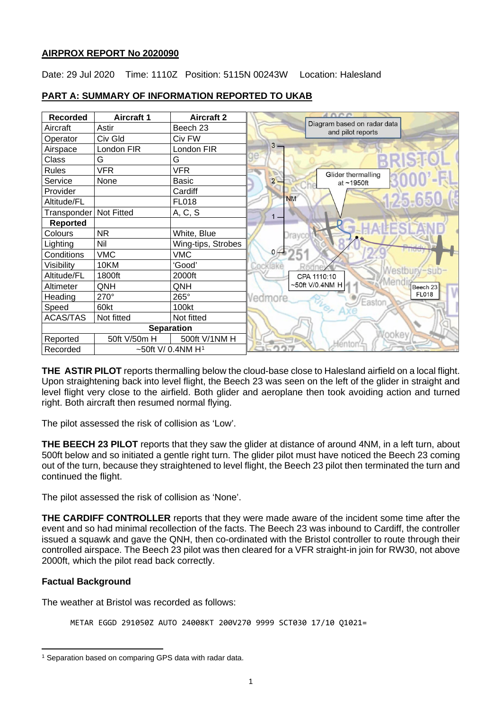### **AIRPROX REPORT No 2020090**

Date: 29 Jul 2020 Time: 1110Z Position: 5115N 00243W Location: Halesland

| <b>Recorded</b>          | <b>Aircraft 1</b>                | <b>Aircraft 2</b>  |                                                  |
|--------------------------|----------------------------------|--------------------|--------------------------------------------------|
| Aircraft                 | Astir                            | Beech 23           | Diagram based on radar data<br>and pilot reports |
| Operator                 | Civ Gld                          | Civ FW             |                                                  |
| Airspace                 | London FIR                       | London FIR         | $3 -$                                            |
| Class                    | G                                | G                  | RISH                                             |
| <b>Rules</b>             | <b>VFR</b>                       | <b>VFR</b>         | Glider thermalling                               |
| Service                  | None                             | <b>Basic</b>       | $\overline{2}$<br>at ~1950ft                     |
| Provider                 |                                  | Cardiff            |                                                  |
| Altitude/FL              |                                  | <b>FL018</b>       | 125.65<br><b>NM</b>                              |
| Transponder   Not Fitted |                                  | A, C, S            | 1 –                                              |
| <b>Reported</b>          |                                  |                    |                                                  |
| Colours                  | <b>NR</b>                        | White, Blue        |                                                  |
| Lighting                 | Nil                              | Wing-tips, Strobes |                                                  |
| Conditions               | <b>VMC</b>                       | <b>VMC</b>         | 0/4                                              |
| Visibility               | 10KM                             | 'Good'             | ocklake<br><b>Nestbury-sub</b>                   |
| Altitude/FL              | 1800ft                           | 2000ft             | CPA 1110:10                                      |
| Altimeter                | QNH                              | QNH                | ~50ft V/0.4NM H<br>Beech 23                      |
| Heading                  | $270^\circ$                      | 265°               | <b>FL018</b><br>Vedmore<br>Easton                |
| Speed                    | 60kt                             | 100kt              |                                                  |
| <b>ACAS/TAS</b>          | Not fitted                       | Not fitted         |                                                  |
| <b>Separation</b>        |                                  |                    |                                                  |
| Reported                 | 50ft V/50m H                     | 500ft V/1NM H      | léntor                                           |
| Recorded                 | ~50ft V/ $0.4$ NM H <sup>1</sup> |                    |                                                  |

# **PART A: SUMMARY OF INFORMATION REPORTED TO UKAB**

**THE ASTIR PILOT** reports thermalling below the cloud-base close to Halesland airfield on a local flight. Upon straightening back into level flight, the Beech 23 was seen on the left of the glider in straight and level flight very close to the airfield. Both glider and aeroplane then took avoiding action and turned right. Both aircraft then resumed normal flying.

The pilot assessed the risk of collision as 'Low'.

**THE BEECH 23 PILOT** reports that they saw the glider at distance of around 4NM, in a left turn, about 500ft below and so initiated a gentle right turn. The glider pilot must have noticed the Beech 23 coming out of the turn, because they straightened to level flight, the Beech 23 pilot then terminated the turn and continued the flight.

The pilot assessed the risk of collision as 'None'.

**THE CARDIFF CONTROLLER** reports that they were made aware of the incident some time after the event and so had minimal recollection of the facts. The Beech 23 was inbound to Cardiff, the controller issued a squawk and gave the QNH, then co-ordinated with the Bristol controller to route through their controlled airspace. The Beech 23 pilot was then cleared for a VFR straight-in join for RW30, not above 2000ft, which the pilot read back correctly.

### **Factual Background**

The weather at Bristol was recorded as follows:

```
METAR EGGD 291050Z AUTO 24008KT 200V270 9999 SCT030 17/10 Q1021=
```
<span id="page-0-0"></span><sup>1</sup> Separation based on comparing GPS data with radar data.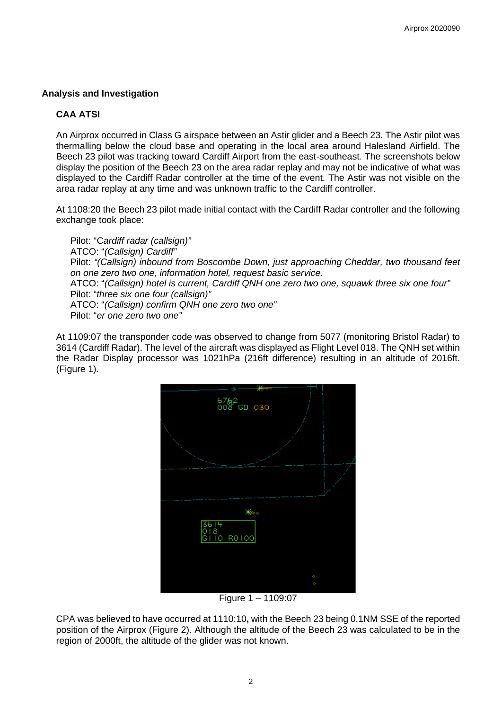### **Analysis and Investigation**

### **CAA ATSI**

An Airprox occurred in Class G airspace between an Astir glider and a Beech 23. The Astir pilot was thermalling below the cloud base and operating in the local area around Halesland Airfield. The Beech 23 pilot was tracking toward Cardiff Airport from the east-southeast. The screenshots below display the position of the Beech 23 on the area radar replay and may not be indicative of what was displayed to the Cardiff Radar controller at the time of the event. The Astir was not visible on the area radar replay at any time and was unknown traffic to the Cardiff controller.

At 1108:20 the Beech 23 pilot made initial contact with the Cardiff Radar controller and the following exchange took place:

Pilot: "C*ardiff radar (callsign)"* ATCO: "*(Callsign) Cardiff"* Pilot: *"(Callsign) inbound from Boscombe Down, just approaching Cheddar, two thousand feet on one zero two one, information hotel, request basic service.* ATCO: "*(Callsign) hotel is current, Cardiff QNH one zero two one, squawk three six one four"* Pilot: "*three six one four (callsign)"* ATCO: "*(Callsign) confirm QNH one zero two one"* Pilot: "*er one zero two one"*

At 1109:07 the transponder code was observed to change from 5077 (monitoring Bristol Radar) to 3614 (Cardiff Radar). The level of the aircraft was displayed as Flight Level 018. The QNH set within the Radar Display processor was 1021hPa (216ft difference) resulting in an altitude of 2016ft. (Figure 1).



Figure 1 – 1109:07

CPA was believed to have occurred at 1110:10**,** with the Beech 23 being 0.1NM SSE of the reported position of the Airprox (Figure 2). Although the altitude of the Beech 23 was calculated to be in the region of 2000ft, the altitude of the glider was not known.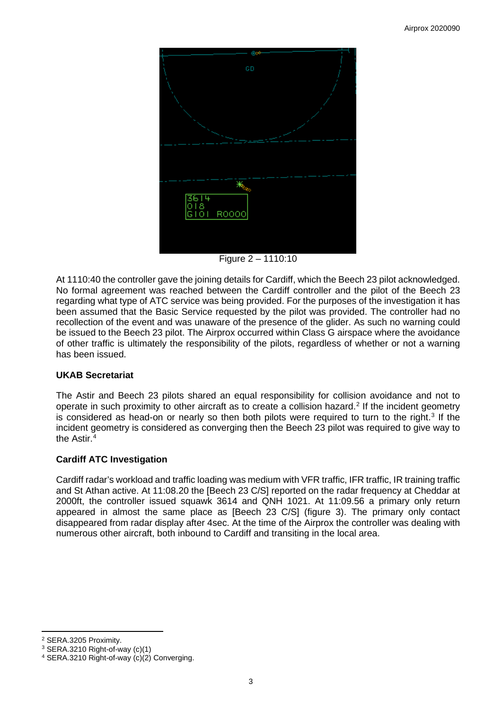

Figure 2 – 1110:10

At 1110:40 the controller gave the joining details for Cardiff, which the Beech 23 pilot acknowledged. No formal agreement was reached between the Cardiff controller and the pilot of the Beech 23 regarding what type of ATC service was being provided. For the purposes of the investigation it has been assumed that the Basic Service requested by the pilot was provided. The controller had no recollection of the event and was unaware of the presence of the glider. As such no warning could be issued to the Beech 23 pilot. The Airprox occurred within Class G airspace where the avoidance of other traffic is ultimately the responsibility of the pilots, regardless of whether or not a warning has been issued.

# **UKAB Secretariat**

The Astir and Beech 23 pilots shared an equal responsibility for collision avoidance and not to operate in such proximity to other aircraft as to create a collision hazard.<sup>[2](#page-2-0)</sup> If the incident geometry is considered as head-on or nearly so then both pilots were required to turn to the right.<sup>[3](#page-2-1)</sup> If the incident geometry is considered as converging then the Beech 23 pilot was required to give way to the Astir. [4](#page-2-2)

# **Cardiff ATC Investigation**

Cardiff radar's workload and traffic loading was medium with VFR traffic, IFR traffic, IR training traffic and St Athan active. At 11:08.20 the [Beech 23 C/S] reported on the radar frequency at Cheddar at 2000ft, the controller issued squawk 3614 and QNH 1021. At 11:09.56 a primary only return appeared in almost the same place as [Beech 23 C/S] (figure 3). The primary only contact disappeared from radar display after 4sec. At the time of the Airprox the controller was dealing with numerous other aircraft, both inbound to Cardiff and transiting in the local area.

<span id="page-2-1"></span><span id="page-2-0"></span><sup>&</sup>lt;sup>2</sup> SERA.3205 Proximity.<br><sup>3</sup> SERA.3210 Right-of-way (c)(1)

<span id="page-2-2"></span><sup>&</sup>lt;sup>4</sup> SERA.3210 Right-of-way (c)(2) Converging.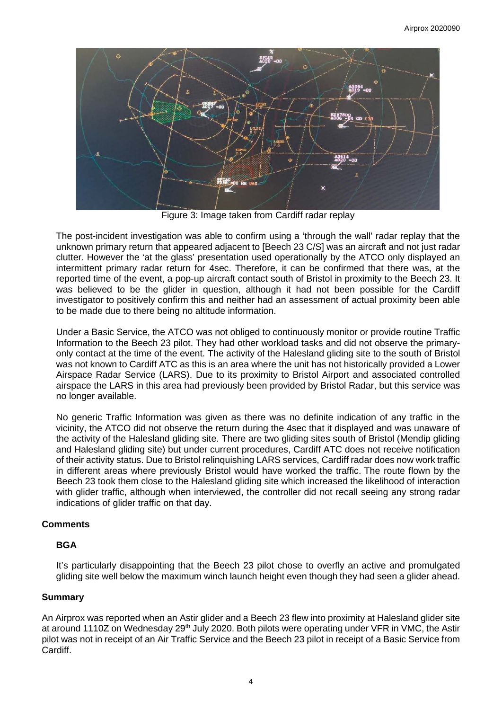

Figure 3: Image taken from Cardiff radar replay

The post-incident investigation was able to confirm using a 'through the wall' radar replay that the unknown primary return that appeared adjacent to [Beech 23 C/S] was an aircraft and not just radar clutter. However the 'at the glass' presentation used operationally by the ATCO only displayed an intermittent primary radar return for 4sec. Therefore, it can be confirmed that there was, at the reported time of the event, a pop-up aircraft contact south of Bristol in proximity to the Beech 23. It was believed to be the glider in question, although it had not been possible for the Cardiff investigator to positively confirm this and neither had an assessment of actual proximity been able to be made due to there being no altitude information.

Under a Basic Service, the ATCO was not obliged to continuously monitor or provide routine Traffic Information to the Beech 23 pilot. They had other workload tasks and did not observe the primaryonly contact at the time of the event. The activity of the Halesland gliding site to the south of Bristol was not known to Cardiff ATC as this is an area where the unit has not historically provided a Lower Airspace Radar Service (LARS). Due to its proximity to Bristol Airport and associated controlled airspace the LARS in this area had previously been provided by Bristol Radar, but this service was no longer available.

No generic Traffic Information was given as there was no definite indication of any traffic in the vicinity, the ATCO did not observe the return during the 4sec that it displayed and was unaware of the activity of the Halesland gliding site. There are two gliding sites south of Bristol (Mendip gliding and Halesland gliding site) but under current procedures, Cardiff ATC does not receive notification of their activity status. Due to Bristol relinquishing LARS services, Cardiff radar does now work traffic in different areas where previously Bristol would have worked the traffic. The route flown by the Beech 23 took them close to the Halesland gliding site which increased the likelihood of interaction with glider traffic, although when interviewed, the controller did not recall seeing any strong radar indications of glider traffic on that day.

### **Comments**

### **BGA**

It's particularly disappointing that the Beech 23 pilot chose to overfly an active and promulgated gliding site well below the maximum winch launch height even though they had seen a glider ahead.

### **Summary**

An Airprox was reported when an Astir glider and a Beech 23 flew into proximity at Halesland glider site at around 1110Z on Wednesday 29<sup>th</sup> July 2020. Both pilots were operating under VFR in VMC, the Astir pilot was not in receipt of an Air Traffic Service and the Beech 23 pilot in receipt of a Basic Service from Cardiff.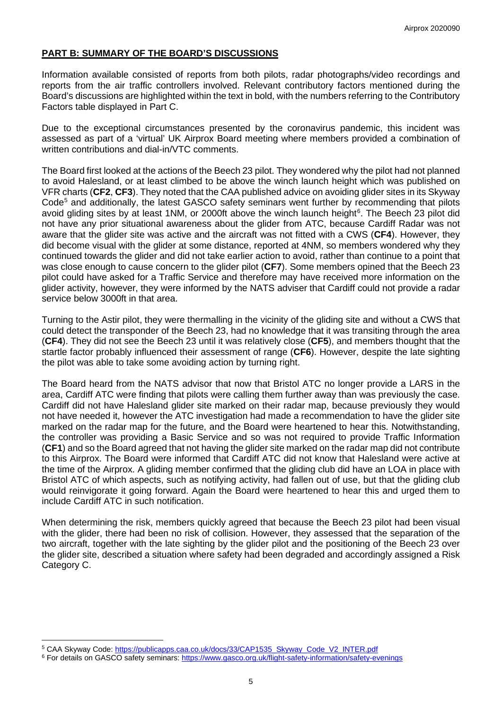### **PART B: SUMMARY OF THE BOARD'S DISCUSSIONS**

Information available consisted of reports from both pilots, radar photographs/video recordings and reports from the air traffic controllers involved. Relevant contributory factors mentioned during the Board's discussions are highlighted within the text in bold, with the numbers referring to the Contributory Factors table displayed in Part C.

Due to the exceptional circumstances presented by the coronavirus pandemic, this incident was assessed as part of a 'virtual' UK Airprox Board meeting where members provided a combination of written contributions and dial-in/VTC comments.

The Board first looked at the actions of the Beech 23 pilot. They wondered why the pilot had not planned to avoid Halesland, or at least climbed to be above the winch launch height which was published on VFR charts (**CF2**, **CF3**). They noted that the CAA published advice on avoiding glider sites in its Skyway Code<sup>[5](#page-4-0)</sup> and additionally, the latest GASCO safety seminars went further by recommending that pilots avoid gliding sites by at least 1NM, or 2000ft above the winch launch height<sup>[6](#page-4-1)</sup>. The Beech 23 pilot did not have any prior situational awareness about the glider from ATC, because Cardiff Radar was not aware that the glider site was active and the aircraft was not fitted with a CWS (**CF4**). However, they did become visual with the glider at some distance, reported at 4NM, so members wondered why they continued towards the glider and did not take earlier action to avoid, rather than continue to a point that was close enough to cause concern to the glider pilot (**CF7**). Some members opined that the Beech 23 pilot could have asked for a Traffic Service and therefore may have received more information on the glider activity, however, they were informed by the NATS adviser that Cardiff could not provide a radar service below 3000ft in that area.

Turning to the Astir pilot, they were thermalling in the vicinity of the gliding site and without a CWS that could detect the transponder of the Beech 23, had no knowledge that it was transiting through the area (**CF4**). They did not see the Beech 23 until it was relatively close (**CF5**), and members thought that the startle factor probably influenced their assessment of range (**CF6**). However, despite the late sighting the pilot was able to take some avoiding action by turning right.

The Board heard from the NATS advisor that now that Bristol ATC no longer provide a LARS in the area, Cardiff ATC were finding that pilots were calling them further away than was previously the case. Cardiff did not have Halesland glider site marked on their radar map, because previously they would not have needed it, however the ATC investigation had made a recommendation to have the glider site marked on the radar map for the future, and the Board were heartened to hear this. Notwithstanding, the controller was providing a Basic Service and so was not required to provide Traffic Information (**CF1**) and so the Board agreed that not having the glider site marked on the radar map did not contribute to this Airprox. The Board were informed that Cardiff ATC did not know that Halesland were active at the time of the Airprox. A gliding member confirmed that the gliding club did have an LOA in place with Bristol ATC of which aspects, such as notifying activity, had fallen out of use, but that the gliding club would reinvigorate it going forward. Again the Board were heartened to hear this and urged them to include Cardiff ATC in such notification.

When determining the risk, members quickly agreed that because the Beech 23 pilot had been visual with the glider, there had been no risk of collision. However, they assessed that the separation of the two aircraft, together with the late sighting by the glider pilot and the positioning of the Beech 23 over the glider site, described a situation where safety had been degraded and accordingly assigned a Risk Category C.

<span id="page-4-0"></span><sup>&</sup>lt;sup>5</sup> CAA Skyway Code[: https://publicapps.caa.co.uk/docs/33/CAP1535\\_Skyway\\_Code\\_V2\\_INTER.pdf](https://publicapps.caa.co.uk/docs/33/CAP1535_Skyway_Code_V2_INTER.pdf)

<span id="page-4-1"></span><sup>6</sup> For details on GASCO safety seminars: <https://www.gasco.org.uk/flight-safety-information/safety-evenings>